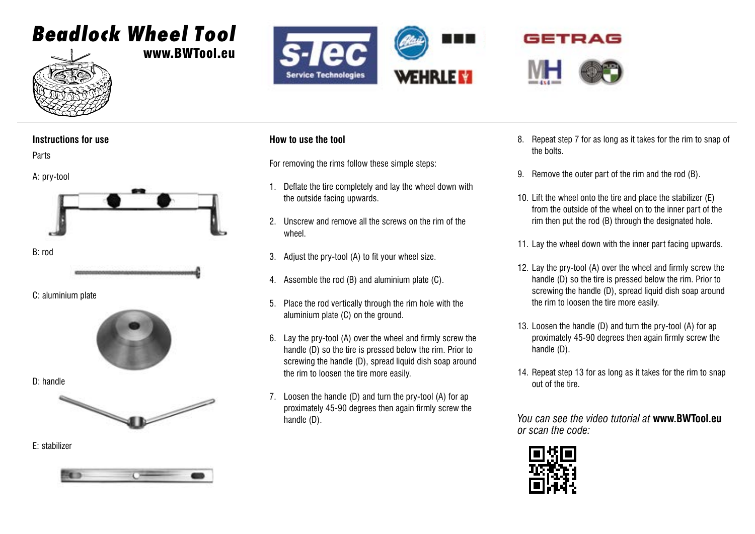# Beadlock Wheel Tool



www.BWTool.eu



## GETRAG



### **Instructions for use**

Parts



C: aluminium plate



D: handle



E: stabilizer



### **How to use the tool**

For removing the rims follow these simple steps:

- 1. Deflate the tire completely and lay the wheel down with the outside facing upwards.
- 2. Unscrew and remove all the screws on the rim of the wheel.
- 3. Adjust the pry-tool (A) to fit your wheel size.
- 4. Assemble the rod (B) and aluminium plate (C).
- 5. Place the rod vertically through the rim hole with the aluminium plate (C) on the ground.
- 6. Lay the pry-tool (A) over the wheel and firmly screw the handle (D) so the tire is pressed below the rim. Prior to screwing the handle (D), spread liquid dish soap around the rim to loosen the tire more easily.
- 7. Loosen the handle (D) and turn the pry-tool (A) for ap proximately 45-90 degrees then again firmly screw the handle (D).
- 8. Repeat step 7 for as long as it takes for the rim to snap of the bolts.
- 9. Remove the outer part of the rim and the rod (B).
- 10. Lift the wheel onto the tire and place the stabilizer (E) from the outside of the wheel on to the inner part of the rim then put the rod (B) through the designated hole.
- 11. Lay the wheel down with the inner part facing upwards.
- 12. Lay the pry-tool (A) over the wheel and firmly screw the handle (D) so the tire is pressed below the rim. Prior to screwing the handle (D), spread liquid dish soap around the rim to loosen the tire more easily.
- 13. Loosen the handle (D) and turn the pry-tool (A) for ap proximately 45-90 degrees then again firmly screw the handle (D).
- 14. Repeat step 13 for as long as it takes for the rim to snap out of the tire.

*You can see the video tutorial at* **www.BWTool.eu** *or scan the code:*